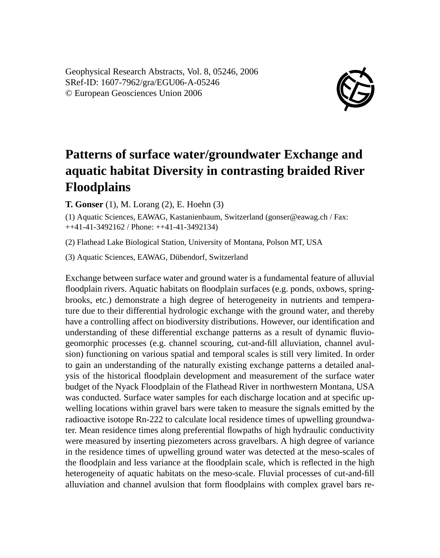Geophysical Research Abstracts, Vol. 8, 05246, 2006 SRef-ID: 1607-7962/gra/EGU06-A-05246 © European Geosciences Union 2006



## **Patterns of surface water/groundwater Exchange and aquatic habitat Diversity in contrasting braided River Floodplains**

**T. Gonser** (1), M. Lorang (2), E. Hoehn (3)

(1) Aquatic Sciences, EAWAG, Kastanienbaum, Switzerland (gonser@eawag.ch / Fax: ++41-41-3492162 / Phone: ++41-41-3492134)

(2) Flathead Lake Biological Station, University of Montana, Polson MT, USA

(3) Aquatic Sciences, EAWAG, Dübendorf, Switzerland

Exchange between surface water and ground water is a fundamental feature of alluvial floodplain rivers. Aquatic habitats on floodplain surfaces (e.g. ponds, oxbows, springbrooks, etc.) demonstrate a high degree of heterogeneity in nutrients and temperature due to their differential hydrologic exchange with the ground water, and thereby have a controlling affect on biodiversity distributions. However, our identification and understanding of these differential exchange patterns as a result of dynamic fluviogeomorphic processes (e.g. channel scouring, cut-and-fill alluviation, channel avulsion) functioning on various spatial and temporal scales is still very limited. In order to gain an understanding of the naturally existing exchange patterns a detailed analysis of the historical floodplain development and measurement of the surface water budget of the Nyack Floodplain of the Flathead River in northwestern Montana, USA was conducted. Surface water samples for each discharge location and at specific upwelling locations within gravel bars were taken to measure the signals emitted by the radioactive isotope Rn-222 to calculate local residence times of upwelling groundwater. Mean residence times along preferential flowpaths of high hydraulic conductivity were measured by inserting piezometers across gravelbars. A high degree of variance in the residence times of upwelling ground water was detected at the meso-scales of the floodplain and less variance at the floodplain scale, which is reflected in the high heterogeneity of aquatic habitats on the meso-scale. Fluvial processes of cut-and-fill alluviation and channel avulsion that form floodplains with complex gravel bars re